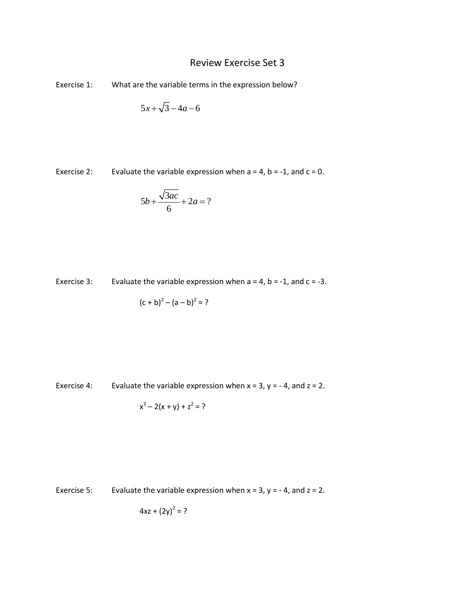## Review Exercise Set 3

Exercise 1: What are the variable terms in the expression below?

$$
5x + \sqrt{3} - 4a - 6
$$

Exercise 2: Evaluate the variable expression when  $a = 4$ ,  $b = -1$ , and  $c = 0$ .

$$
5b + \frac{\sqrt{3ac}}{6} + 2a = ?
$$

Exercise 3: Evaluate the variable expression when  $a = 4$ ,  $b = -1$ , and  $c = -3$ .

$$
(c + b)2 - (a - b)2 = ?
$$

Exercise 4: Evaluate the variable expression when  $x = 3$ ,  $y = -4$ , and  $z = 2$ .

$$
x^3 - 2(x + y) + z^2 = ?
$$

Exercise 5: Evaluate the variable expression when  $x = 3$ ,  $y = -4$ , and  $z = 2$ .

$$
4xz + (2y)^2 = ?
$$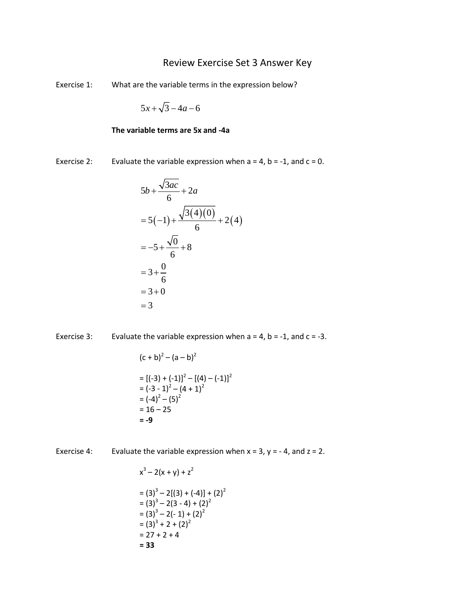## Review Exercise Set 3 Answer Key

Exercise 1: What are the variable terms in the expression below?

$$
5x + \sqrt{3} - 4a - 6
$$

## **The variable terms are 5x and -4a**

Exercise 2: Evaluate the variable expression when  $a = 4$ ,  $b = -1$ , and  $c = 0$ .

$$
5b + \frac{\sqrt{3ac}}{6} + 2a
$$
  
= 5(-1) +  $\frac{\sqrt{3(4)(0)}}{6}$  + 2(4)  
= -5 +  $\frac{\sqrt{0}}{6}$  + 8  
= 3 +  $\frac{0}{6}$   
= 3 + 0  
= 3

Exercise 3: Evaluate the variable expression when  $a = 4$ ,  $b = -1$ , and  $c = -3$ .

$$
(c + b)2 - (a - b)2
$$
  
= 
$$
[(-3) + (-1)]2 - [(4) - (-1)]2
$$
  
= 
$$
(-3 - 1)2 - (4 + 1)2
$$
  
= 
$$
(-4)2 - (5)2
$$
  
= 16 - 25  
= -9

Exercise 4: Evaluate the variable expression when  $x = 3$ ,  $y = -4$ , and  $z = 2$ .

$$
x3-2(x + y) + z2
$$
  
= (3)<sup>3</sup>-2[(3) + (-4)] + (2)<sup>2</sup>  
= (3)<sup>3</sup>-2(3 - 4) + (2)<sup>2</sup>  
= (3)<sup>3</sup>-2(-1) + (2)<sup>2</sup>  
= (3)<sup>3</sup> + 2 + (2)<sup>2</sup>  
= 27 + 2 + 4  
= 33